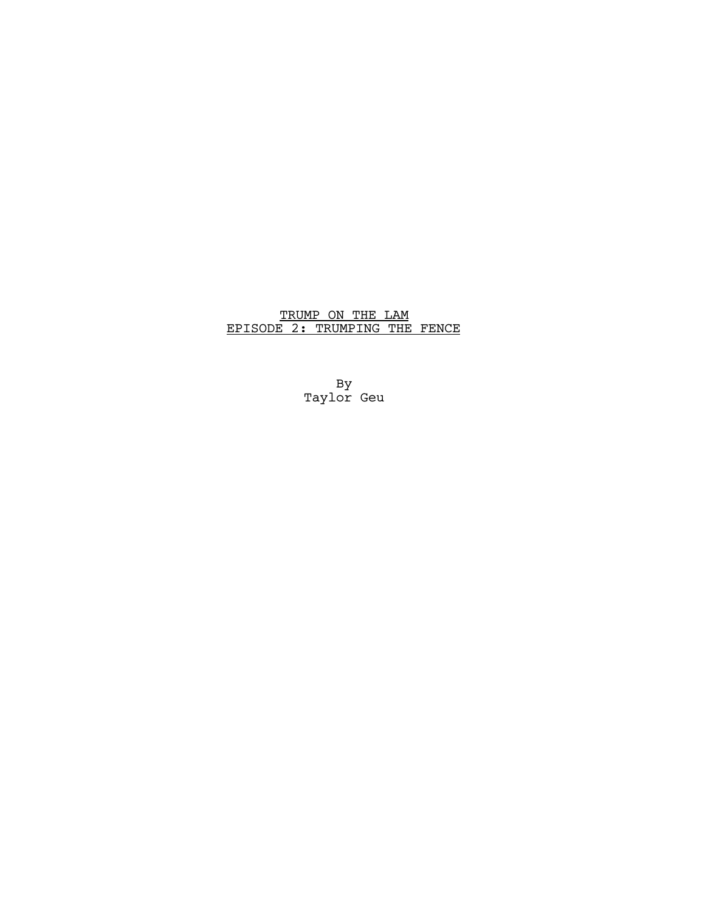# TRUMP ON THE LAM EPISODE 2: TRUMPING THE FENCE

By Taylor Geu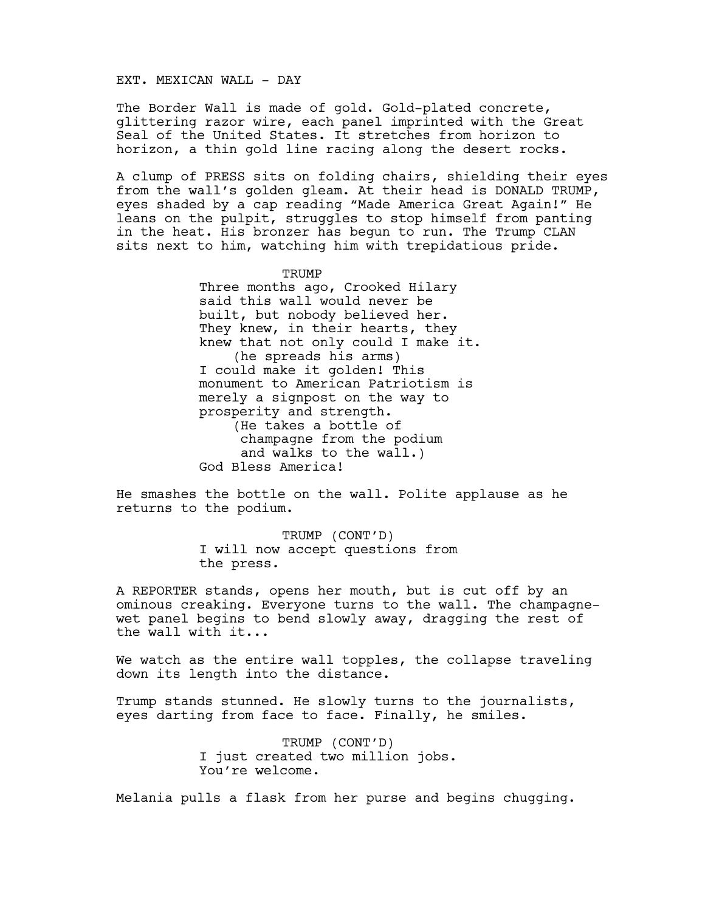### EXT. MEXICAN WALL - DAY

The Border Wall is made of gold. Gold-plated concrete, glittering razor wire, each panel imprinted with the Great Seal of the United States. It stretches from horizon to horizon, a thin gold line racing along the desert rocks.

A clump of PRESS sits on folding chairs, shielding their eyes from the wall's golden gleam. At their head is DONALD TRUMP, eyes shaded by a cap reading "Made America Great Again!" He leans on the pulpit, struggles to stop himself from panting in the heat. His bronzer has begun to run. The Trump CLAN sits next to him, watching him with trepidatious pride.

**TRUMP** 

Three months ago, Crooked Hilary said this wall would never be built, but nobody believed her. They knew, in their hearts, they knew that not only could I make it. (he spreads his arms) I could make it golden! This monument to American Patriotism is merely a signpost on the way to prosperity and strength. (He takes a bottle of champagne from the podium and walks to the wall.) God Bless America!

He smashes the bottle on the wall. Polite applause as he returns to the podium.

> TRUMP (CONT'D) I will now accept questions from the press.

A REPORTER stands, opens her mouth, but is cut off by an ominous creaking. Everyone turns to the wall. The champagnewet panel begins to bend slowly away, dragging the rest of the wall with it...

We watch as the entire wall topples, the collapse traveling down its length into the distance.

Trump stands stunned. He slowly turns to the journalists, eyes darting from face to face. Finally, he smiles.

> TRUMP (CONT'D) I just created two million jobs. You're welcome.

Melania pulls a flask from her purse and begins chugging.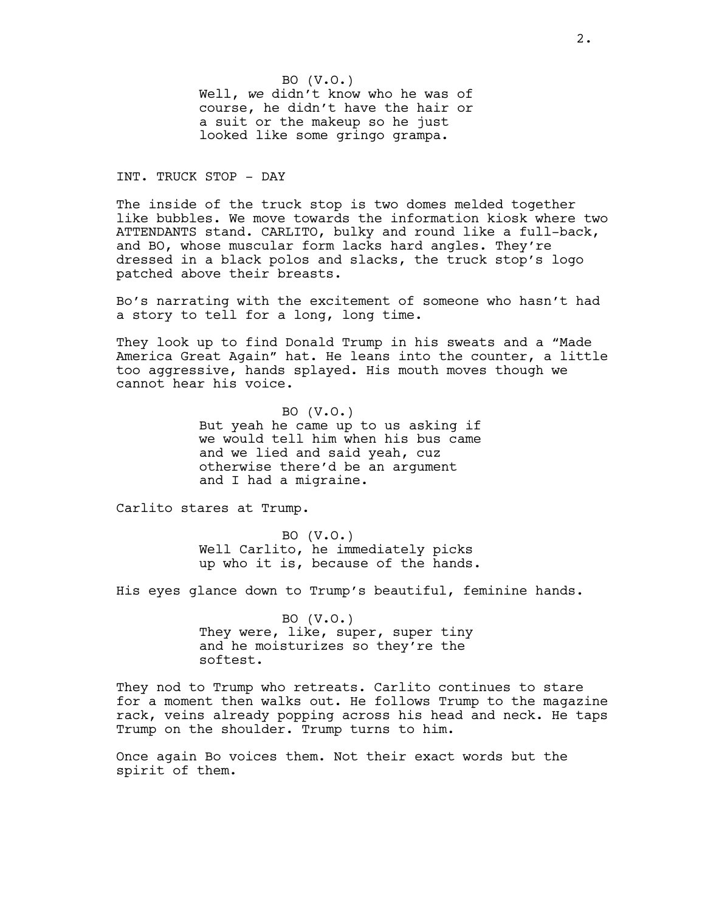BO (V.O.) Well, *we* didn't know who he was of course, he didn't have the hair or a suit or the makeup so he just looked like some gringo grampa.

INT. TRUCK STOP - DAY

The inside of the truck stop is two domes melded together like bubbles. We move towards the information kiosk where two ATTENDANTS stand. CARLITO, bulky and round like a full-back, and BO, whose muscular form lacks hard angles. They're dressed in a black polos and slacks, the truck stop's logo patched above their breasts.

Bo's narrating with the excitement of someone who hasn't had a story to tell for a long, long time.

They look up to find Donald Trump in his sweats and a "Made America Great Again" hat. He leans into the counter, a little too aggressive, hands splayed. His mouth moves though we cannot hear his voice.

> BO (V.O.) But yeah he came up to us asking if we would tell him when his bus came and we lied and said yeah, cuz otherwise there'd be an argument and I had a migraine.

Carlito stares at Trump.

BO (V.O.) Well Carlito, he immediately picks up who it is, because of the hands.

His eyes glance down to Trump's beautiful, feminine hands.

BO (V.O.) They were, like, super, super tiny and he moisturizes so they're the softest.

They nod to Trump who retreats. Carlito continues to stare for a moment then walks out. He follows Trump to the magazine rack, veins already popping across his head and neck. He taps Trump on the shoulder. Trump turns to him.

Once again Bo voices them. Not their exact words but the spirit of them.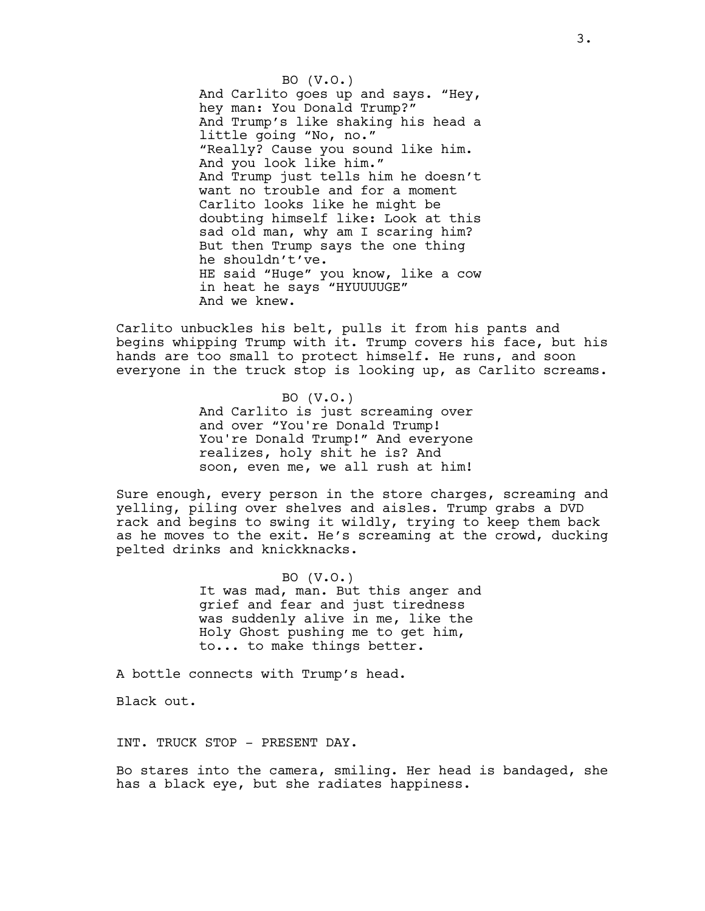BO (V.O.) And Carlito goes up and says. "Hey, hey man: You Donald Trump?" And Trump's like shaking his head a little going "No, no." "Really? Cause you sound like him. And you look like him." And Trump just tells him he doesn't want no trouble and for a moment Carlito looks like he might be doubting himself like: Look at this sad old man, why am I scaring him? But then Trump says the one thing he shouldn't've. HE said "Huge" you know, like a cow in heat he says "HYUUUUGE" And we knew.

Carlito unbuckles his belt, pulls it from his pants and begins whipping Trump with it. Trump covers his face, but his hands are too small to protect himself. He runs, and soon everyone in the truck stop is looking up, as Carlito screams.

> BO (V.O.) And Carlito is just screaming over and over "You're Donald Trump! You're Donald Trump!" And everyone realizes, holy shit he is? And soon, even me, we all rush at him!

Sure enough, every person in the store charges, screaming and yelling, piling over shelves and aisles. Trump grabs a DVD rack and begins to swing it wildly, trying to keep them back as he moves to the exit. He's screaming at the crowd, ducking pelted drinks and knickknacks.

> BO (V.O.) It was mad, man. But this anger and grief and fear and just tiredness was suddenly alive in me, like the Holy Ghost pushing me to get him, to... to make things better.

A bottle connects with Trump's head.

Black out.

INT. TRUCK STOP - PRESENT DAY.

Bo stares into the camera, smiling. Her head is bandaged, she has a black eye, but she radiates happiness.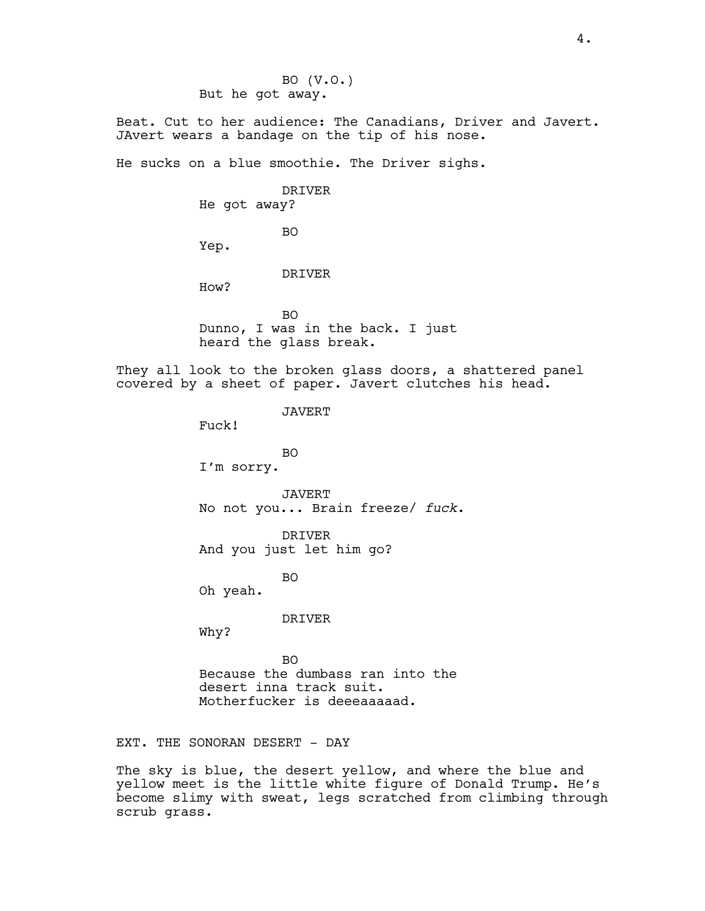BO (V.O.) But he got away.

Beat. Cut to her audience: The Canadians, Driver and Javert. JAvert wears a bandage on the tip of his nose.

He sucks on a blue smoothie. The Driver sighs.

DRIVER

He got away?

BO

Yep.

DRIVER

How?

BO Dunno, I was in the back. I just heard the glass break.

They all look to the broken glass doors, a shattered panel covered by a sheet of paper. Javert clutches his head.

JAVERT

Fuck!

BO I'm sorry.

JAVERT No not you... Brain freeze/ *fuck*.

DRIVER And you just let him go?

BO

Oh yeah.

DRIVER

Why?

BO Because the dumbass ran into the desert inna track suit. Motherfucker is deeeaaaaad.

EXT. THE SONORAN DESERT - DAY

The sky is blue, the desert yellow, and where the blue and yellow meet is the little white figure of Donald Trump. He's become slimy with sweat, legs scratched from climbing through scrub grass.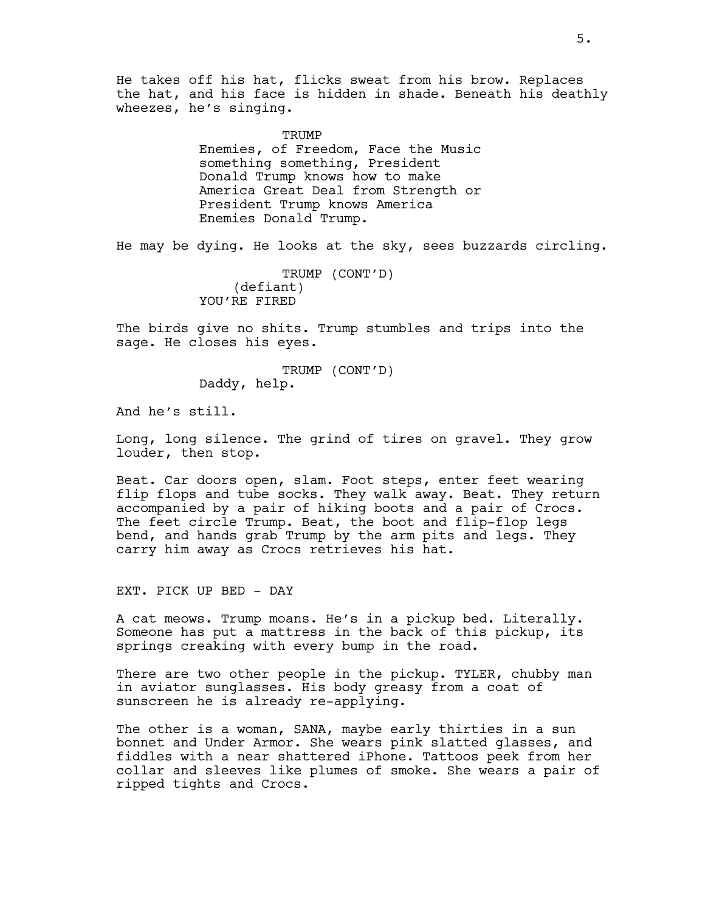He takes off his hat, flicks sweat from his brow. Replaces the hat, and his face is hidden in shade. Beneath his deathly wheezes, he's singing.

> TRUMP Enemies, of Freedom, Face the Music something something, President Donald Trump knows how to make America Great Deal from Strength or President Trump knows America Enemies Donald Trump.

He may be dying. He looks at the sky, sees buzzards circling.

TRUMP (CONT'D) (defiant) YOU'RE FIRED

The birds give no shits. Trump stumbles and trips into the sage. He closes his eyes.

> TRUMP (CONT'D) Daddy, help.

And he's still.

Long, long silence. The grind of tires on gravel. They grow louder, then stop.

Beat. Car doors open, slam. Foot steps, enter feet wearing flip flops and tube socks. They walk away. Beat. They return accompanied by a pair of hiking boots and a pair of Crocs. The feet circle Trump. Beat, the boot and flip-flop legs bend, and hands grab Trump by the arm pits and legs. They carry him away as Crocs retrieves his hat.

EXT. PICK UP BED - DAY

A cat meows. Trump moans. He's in a pickup bed. Literally. Someone has put a mattress in the back of this pickup, its springs creaking with every bump in the road.

There are two other people in the pickup. TYLER, chubby man in aviator sunglasses. His body greasy from a coat of sunscreen he is already re-applying.

The other is a woman, SANA, maybe early thirties in a sun bonnet and Under Armor. She wears pink slatted glasses, and fiddles with a near shattered iPhone. Tattoos peek from her collar and sleeves like plumes of smoke. She wears a pair of ripped tights and Crocs.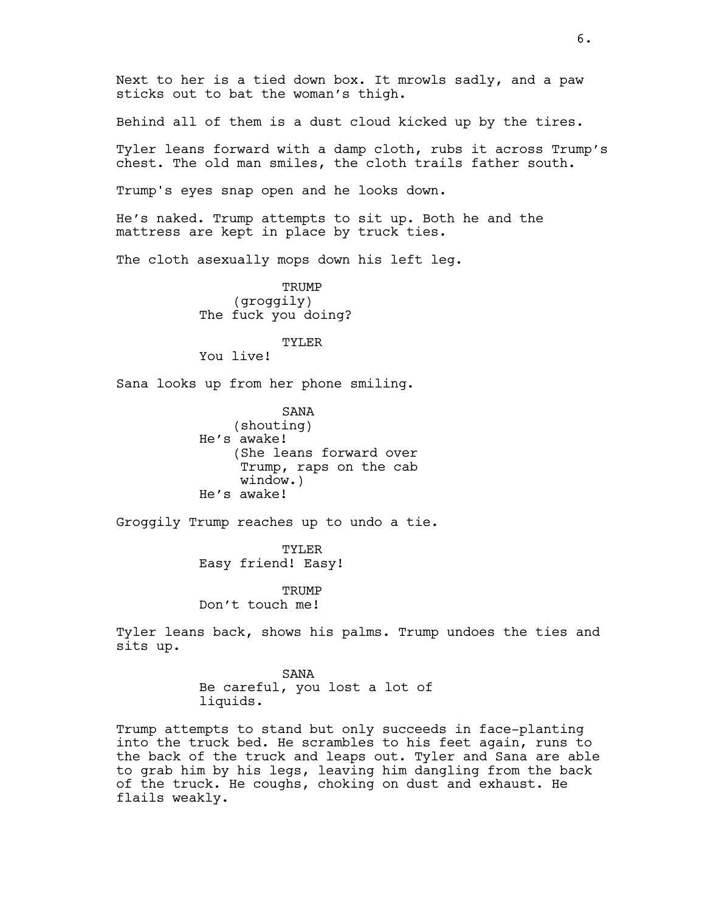Next to her is a tied down box. It mrowls sadly, and a paw sticks out to bat the woman's thigh.

Behind all of them is a dust cloud kicked up by the tires.

Tyler leans forward with a damp cloth, rubs it across Trump's chest. The old man smiles, the cloth trails father south.

Trump's eyes snap open and he looks down.

He's naked. Trump attempts to sit up. Both he and the mattress are kept in place by truck ties.

The cloth asexually mops down his left leg.

TRUMP (groggily) The fuck you doing?

# TYLER

You live!

Sana looks up from her phone smiling.

SANA (shouting) He's awake! (She leans forward over Trump, raps on the cab window.) He's awake!

Groggily Trump reaches up to undo a tie.

TYLER Easy friend! Easy!

**TRUMP** Don't touch me!

Tyler leans back, shows his palms. Trump undoes the ties and sits up.

> SANA Be careful, you lost a lot of liquids.

Trump attempts to stand but only succeeds in face-planting into the truck bed. He scrambles to his feet again, runs to the back of the truck and leaps out. Tyler and Sana are able to grab him by his legs, leaving him dangling from the back of the truck. He coughs, choking on dust and exhaust. He flails weakly.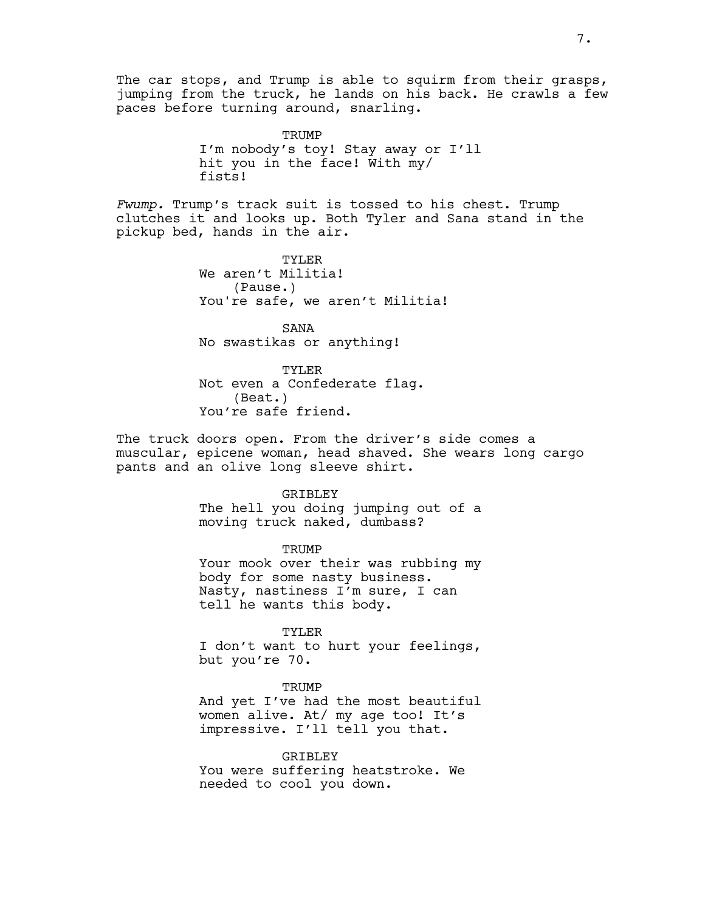The car stops, and Trump is able to squirm from their grasps, jumping from the truck, he lands on his back. He crawls a few paces before turning around, snarling.

> TRUMP I'm nobody's toy! Stay away or I'll hit you in the face! With my/ fists!

*Fwump.* Trump's track suit is tossed to his chest. Trump clutches it and looks up. Both Tyler and Sana stand in the pickup bed, hands in the air.

> TYLER We aren't Militia! (Pause.) You're safe, we aren't Militia!

SANA No swastikas or anything!

TYLER Not even a Confederate flag. (Beat.) You're safe friend.

The truck doors open. From the driver's side comes a muscular, epicene woman, head shaved. She wears long cargo pants and an olive long sleeve shirt.

### GRIBLEY

The hell you doing jumping out of a moving truck naked, dumbass?

#### **TRUMP**

Your mook over their was rubbing my body for some nasty business. Nasty, nastiness I'm sure, I can tell he wants this body.

### TYLER

I don't want to hurt your feelings, but you're 70.

#### TRUMP

And yet I've had the most beautiful women alive. At/ my age too! It's impressive. I'll tell you that.

### **GRIBLEY**

You were suffering heatstroke. We needed to cool you down.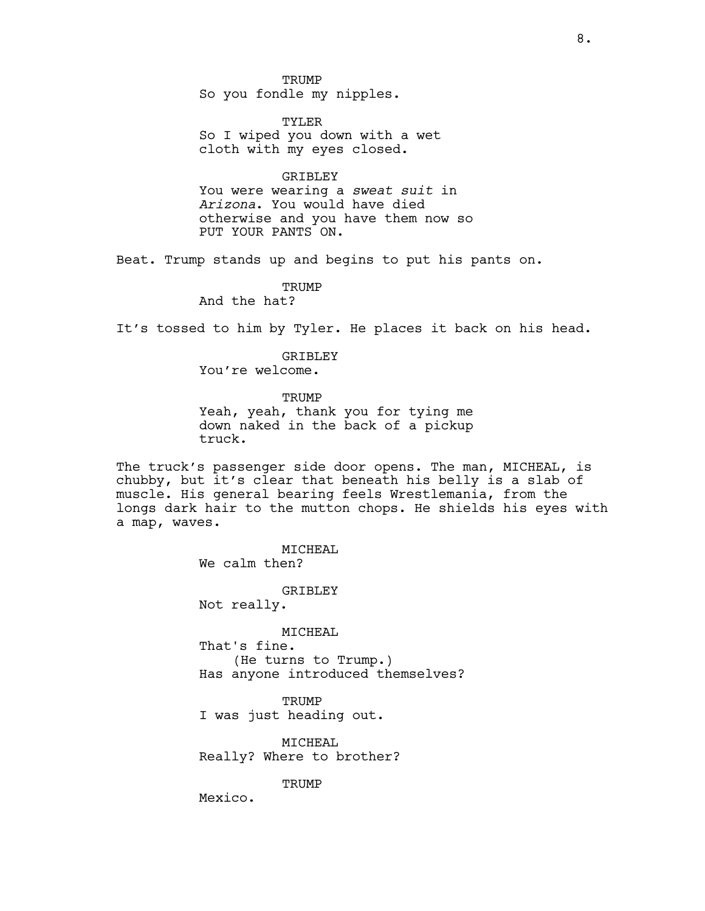TRUMP So you fondle my nipples.

TYLER So I wiped you down with a wet cloth with my eyes closed.

**GRIBLEY** 

You were wearing a *sweat suit* in *Arizona*. You would have died otherwise and you have them now so PUT YOUR PANTS ON.

Beat. Trump stands up and begins to put his pants on.

**TRUMP** And the hat?

It's tossed to him by Tyler. He places it back on his head.

GRIBLEY You're welcome.

**TRUMP** 

Yeah, yeah, thank you for tying me down naked in the back of a pickup truck.

The truck's passenger side door opens. The man, MICHEAL, is chubby, but it's clear that beneath his belly is a slab of muscle. His general bearing feels Wrestlemania, from the longs dark hair to the mutton chops. He shields his eyes with a map, waves.

> MICHEAL We calm then? GRIBLEY Not really. MICHEAL That's fine. (He turns to Trump.) Has anyone introduced themselves? **TRUMP**

I was just heading out.

MICHEAL Really? Where to brother?

**TRUMP** 

Mexico.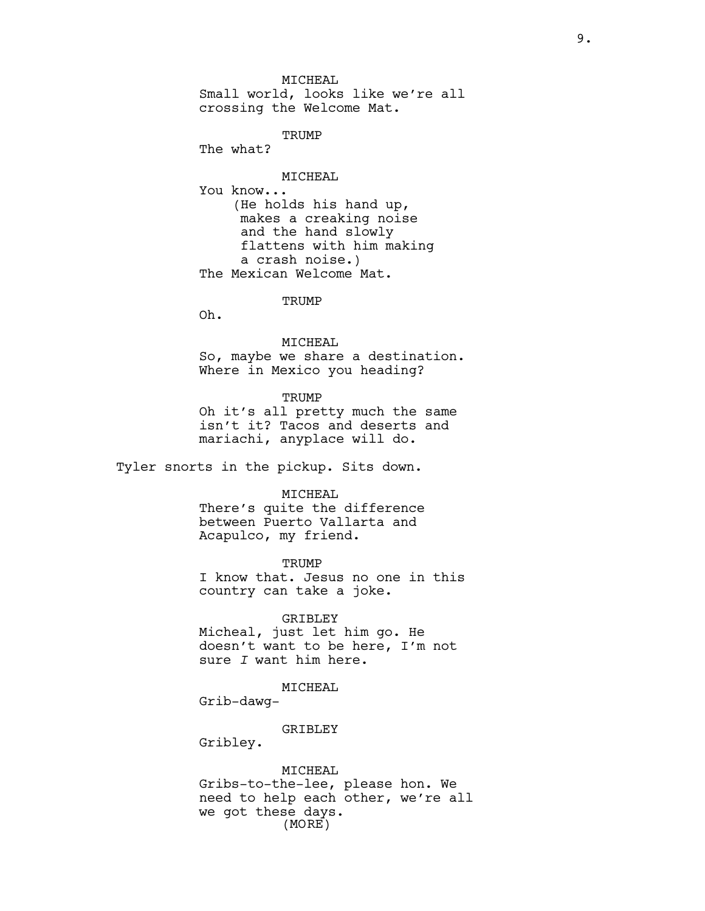MICHEAL Small world, looks like we're all crossing the Welcome Mat.

TRUMP

The what?

MICHEAL

You know... (He holds his hand up, makes a creaking noise and the hand slowly flattens with him making a crash noise.) The Mexican Welcome Mat.

**TRUMP** 

Oh.

MICHEAL

So, maybe we share a destination. Where in Mexico you heading?

**TRUMP** 

Oh it's all pretty much the same isn't it? Tacos and deserts and mariachi, anyplace will do.

Tyler snorts in the pickup. Sits down.

#### MICHEAL

There's quite the difference between Puerto Vallarta and Acapulco, my friend.

TRUMP

I know that. Jesus no one in this country can take a joke.

GRIBLEY Micheal, just let him go. He doesn't want to be here, I'm not sure *I* want him here.

MICHEAL

Grib-dawg-

GRIBLEY

Gribley.

MICHEAL Gribs-to-the-lee, please hon. We need to help each other, we're all we got these days. (MORE)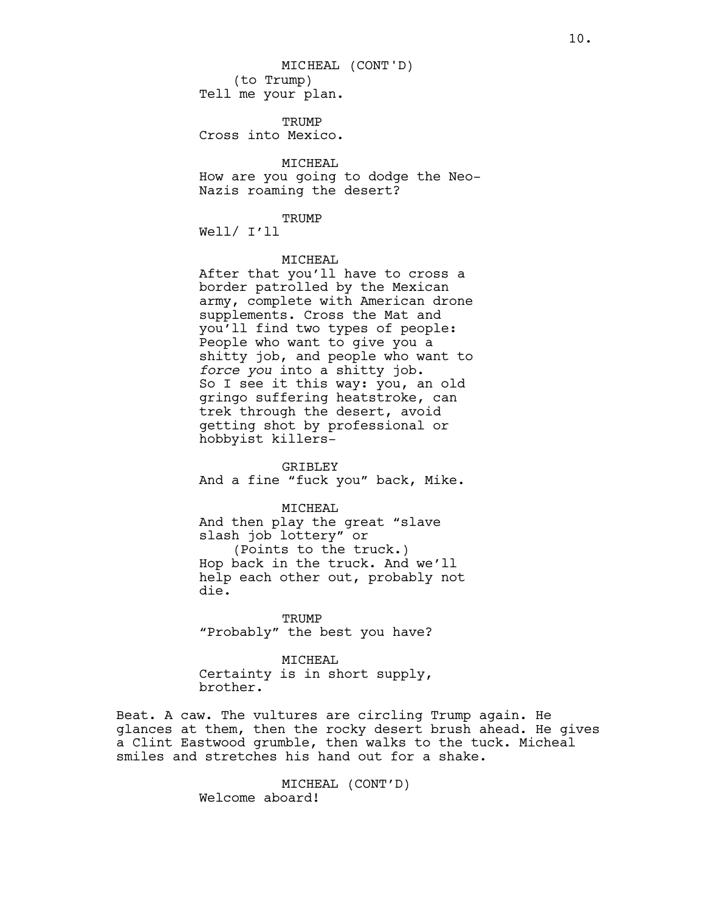**TRUMP** Cross into Mexico.

MICHEAL How are you going to dodge the Neo-Nazis roaming the desert?

#### TRUMP

Well/ I'll

### MICHEAL

After that you'll have to cross a border patrolled by the Mexican army, complete with American drone supplements. Cross the Mat and you'll find two types of people: People who want to give you a shitty job, and people who want to *force you* into a shitty job. So I see it this way: you, an old gringo suffering heatstroke, can trek through the desert, avoid getting shot by professional or hobbyist killers-

GRIBLEY And a fine "fuck you" back, Mike.

MICHEAL And then play the great "slave slash job lottery" or

(Points to the truck.) Hop back in the truck. And we'll help each other out, probably not die.

**TRUMP** "Probably" the best you have?

MICHEAL

Certainty is in short supply, brother.

Beat. A caw. The vultures are circling Trump again. He glances at them, then the rocky desert brush ahead. He gives a Clint Eastwood grumble, then walks to the tuck. Micheal smiles and stretches his hand out for a shake.

> MICHEAL (CONT'D) Welcome aboard!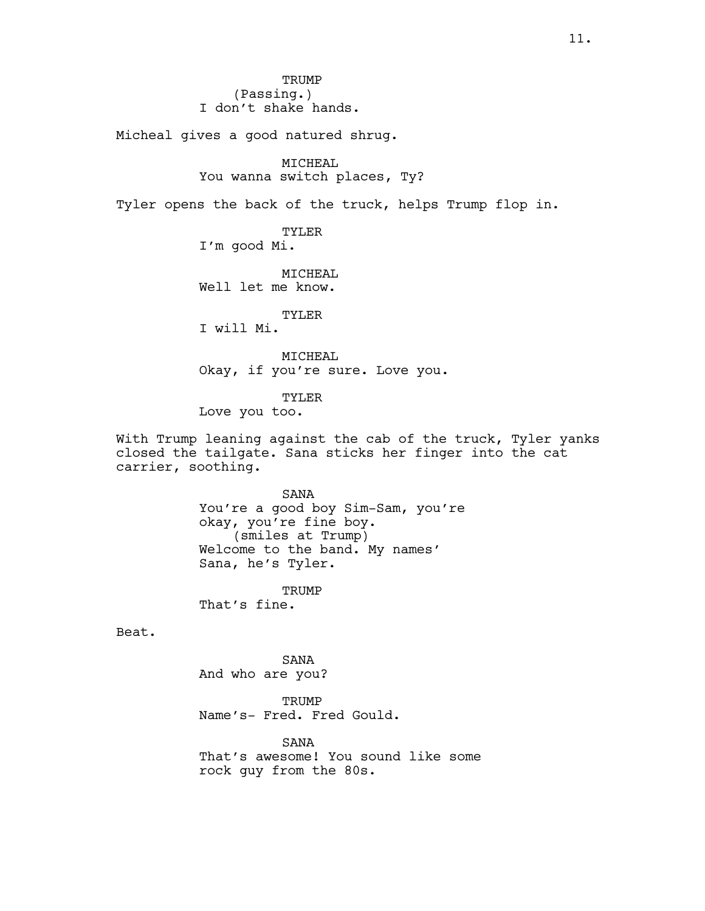**TRUMP** (Passing.) I don't shake hands.

Micheal gives a good natured shrug.

### MICHEAL

You wanna switch places, Ty?

Tyler opens the back of the truck, helps Trump flop in.

TYLER

I'm good Mi.

MICHEAL Well let me know.

TYLER

I will Mi.

MICHEAL Okay, if you're sure. Love you.

TYLER Love you too.

With Trump leaning against the cab of the truck, Tyler yanks closed the tailgate. Sana sticks her finger into the cat carrier, soothing.

SANA

You're a good boy Sim-Sam, you're okay, you're fine boy. (smiles at Trump) Welcome to the band. My names' Sana, he's Tyler.

**TRUMP** That's fine.

Beat.

SANA And who are you?

TRUMP Name's- Fred. Fred Gould.

SANA That's awesome! You sound like some rock guy from the 80s.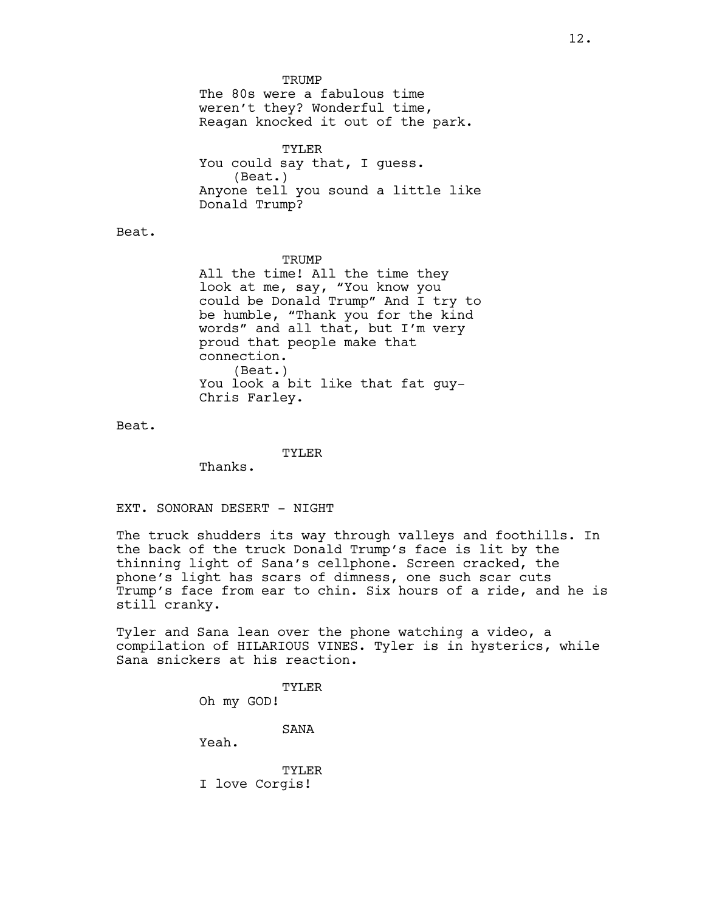**TRUMP** 

The 80s were a fabulous time weren't they? Wonderful time, Reagan knocked it out of the park.

TYLER You could say that, I guess. (Beat.) Anyone tell you sound a little like Donald Trump?

Beat.

**TRUMP** 

All the time! All the time they look at me, say, "You know you could be Donald Trump" And I try to be humble, "Thank you for the kind words" and all that, but I'm very proud that people make that connection. (Beat.) You look a bit like that fat guy-Chris Farley.

Beat.

TYLER

Thanks.

EXT. SONORAN DESERT - NIGHT

The truck shudders its way through valleys and foothills. In the back of the truck Donald Trump's face is lit by the thinning light of Sana's cellphone. Screen cracked, the phone's light has scars of dimness, one such scar cuts Trump's face from ear to chin. Six hours of a ride, and he is still cranky.

Tyler and Sana lean over the phone watching a video, a compilation of HILARIOUS VINES. Tyler is in hysterics, while Sana snickers at his reaction.

> TYLER Oh my GOD! SANA Yeah. TYLER I love Corgis!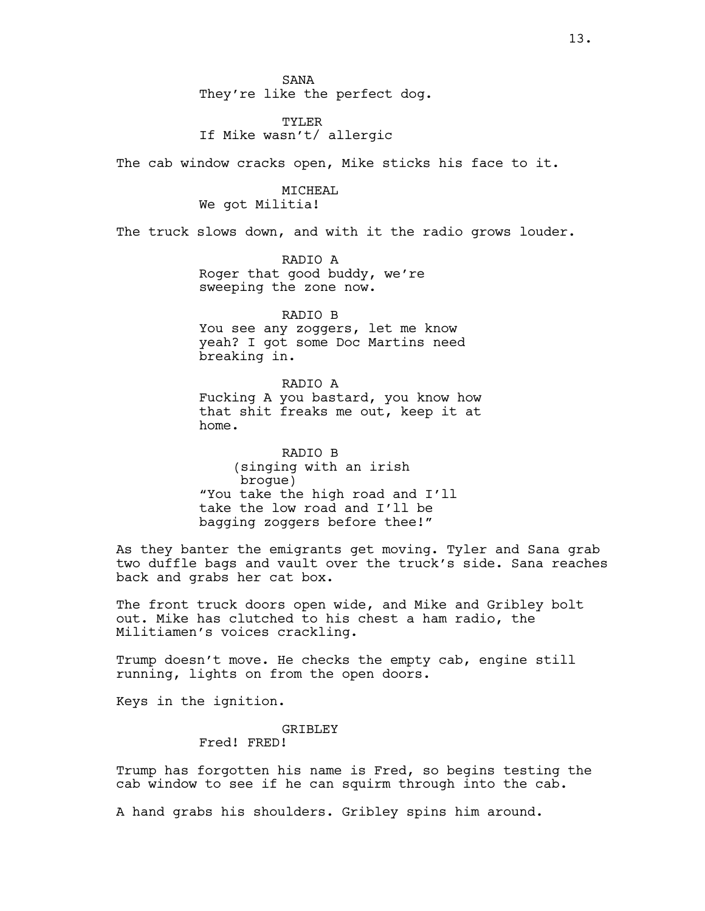SANA They're like the perfect dog.

TYLER If Mike wasn't/ allergic

The cab window cracks open, Mike sticks his face to it.

MICHEAL We got Militia!

The truck slows down, and with it the radio grows louder.

RADIO A Roger that good buddy, we're sweeping the zone now.

RADIO B You see any zoggers, let me know yeah? I got some Doc Martins need breaking in.

RADIO A Fucking A you bastard, you know how that shit freaks me out, keep it at home.

RADIO B (singing with an irish brogue) "You take the high road and I'll take the low road and I'll be bagging zoggers before thee!"

As they banter the emigrants get moving. Tyler and Sana grab two duffle bags and vault over the truck's side. Sana reaches back and grabs her cat box.

The front truck doors open wide, and Mike and Gribley bolt out. Mike has clutched to his chest a ham radio, the Militiamen's voices crackling.

Trump doesn't move. He checks the empty cab, engine still running, lights on from the open doors.

Keys in the ignition.

GRIBLEY Fred! FRED!

Trump has forgotten his name is Fred, so begins testing the cab window to see if he can squirm through into the cab.

A hand grabs his shoulders. Gribley spins him around.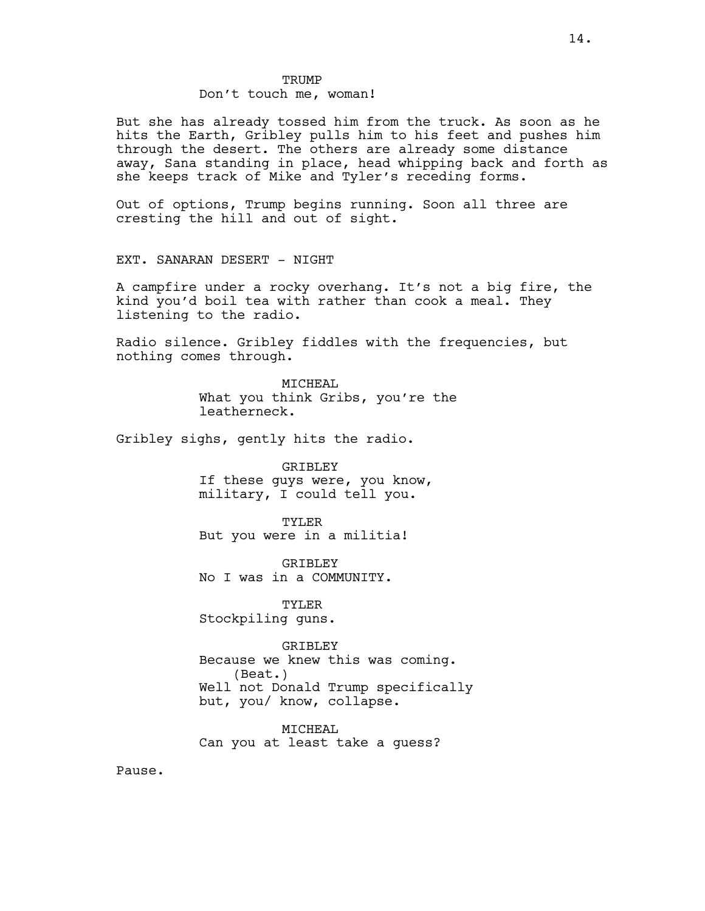# TRUMP Don't touch me, woman!

But she has already tossed him from the truck. As soon as he hits the Earth, Gribley pulls him to his feet and pushes him through the desert. The others are already some distance away, Sana standing in place, head whipping back and forth as she keeps track of Mike and Tyler's receding forms.

Out of options, Trump begins running. Soon all three are cresting the hill and out of sight.

EXT. SANARAN DESERT - NIGHT

A campfire under a rocky overhang. It's not a big fire, the kind you'd boil tea with rather than cook a meal. They listening to the radio.

Radio silence. Gribley fiddles with the frequencies, but nothing comes through.

> MICHEAL What you think Gribs, you're the leatherneck.

Gribley sighs, gently hits the radio.

### GRIBLEY

If these guys were, you know, military, I could tell you.

#### TYLER

But you were in a militia!

GRIBLEY No I was in a COMMUNITY.

TYLER Stockpiling guns.

GRIBLEY Because we knew this was coming. (Beat.) Well not Donald Trump specifically but, you/ know, collapse.

MICHEAL Can you at least take a guess?

Pause.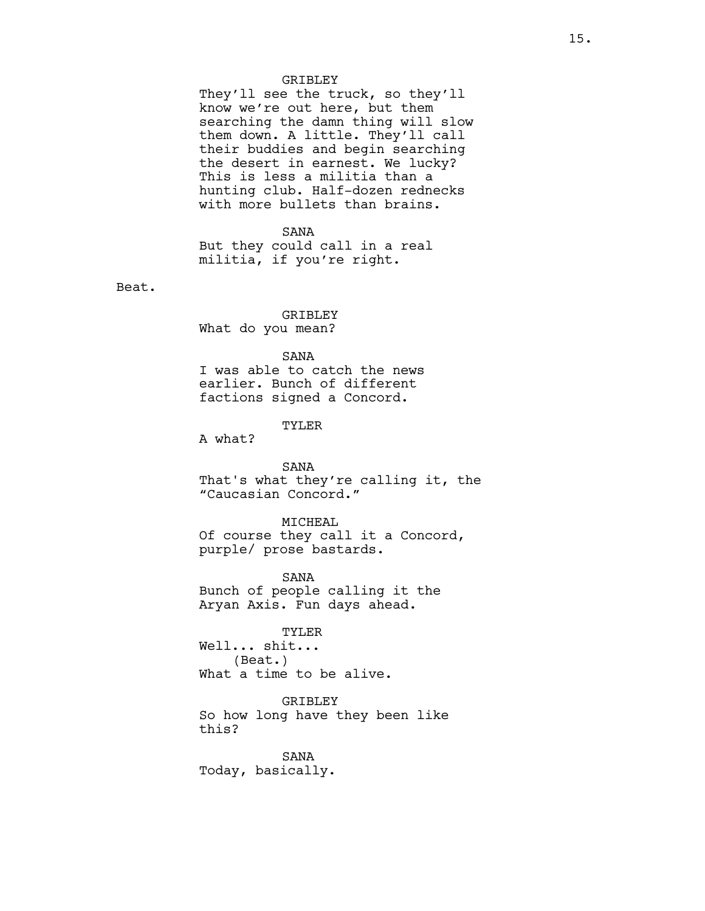#### GRIBLEY

They'll see the truck, so they'll know we're out here, but them searching the damn thing will slow them down. A little. They'll call their buddies and begin searching the desert in earnest. We lucky? This is less a militia than a hunting club. Half-dozen rednecks with more bullets than brains.

### SANA

But they could call in a real militia, if you're right.

Beat.

# GRIBLEY

What do you mean?

### SANA

I was able to catch the news earlier. Bunch of different factions signed a Concord.

### TYLER

A what?

### SANA

That's what they're calling it, the "Caucasian Concord."

#### MICHEAL

Of course they call it a Concord, purple/ prose bastards.

SANA Bunch of people calling it the Aryan Axis. Fun days ahead.

### TYLER

Well... shit... (Beat.) What a time to be alive.

GRIBLEY

So how long have they been like this?

SANA Today, basically.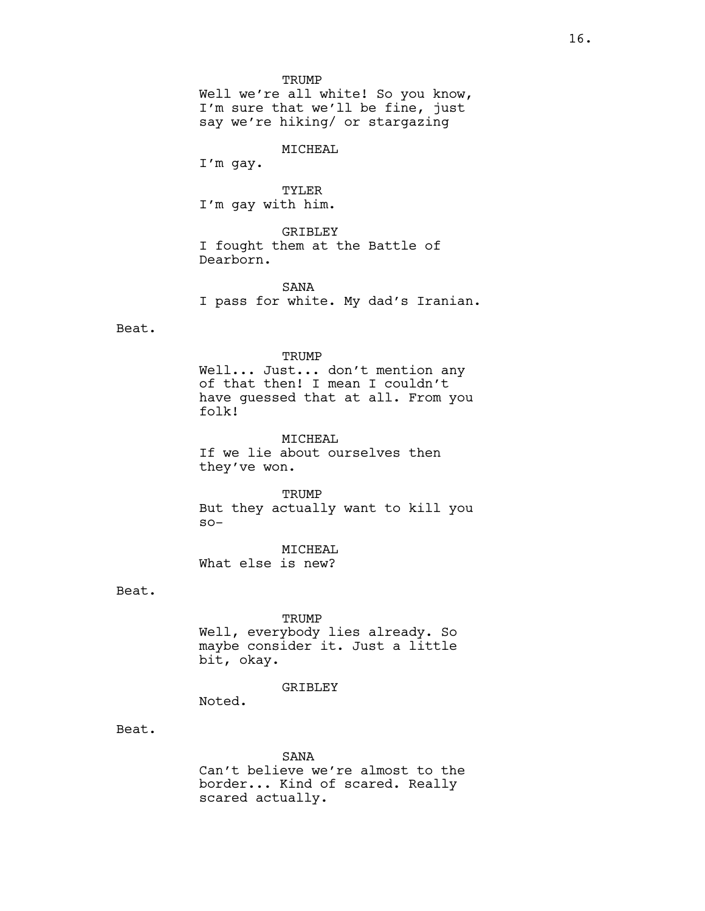**TRUMP** 

Well we're all white! So you know, I'm sure that we'll be fine, just say we're hiking/ or stargazing

MICHEAL

I'm gay.

TYLER I'm gay with him.

GRIBLEY I fought them at the Battle of Dearborn.

SANA I pass for white. My dad's Iranian.

Beat.

### TRUMP

Well... Just... don't mention any of that then! I mean I couldn't have guessed that at all. From you folk!

MICHEAL If we lie about ourselves then they've won.

TRUMP But they actually want to kill you so-

MICHEAL What else is new?

Beat.

#### TRUMP

Well, everybody lies already. So maybe consider it. Just a little bit, okay.

GRIBLEY

Noted.

Beat.

SANA

Can't believe we're almost to the border... Kind of scared. Really scared actually.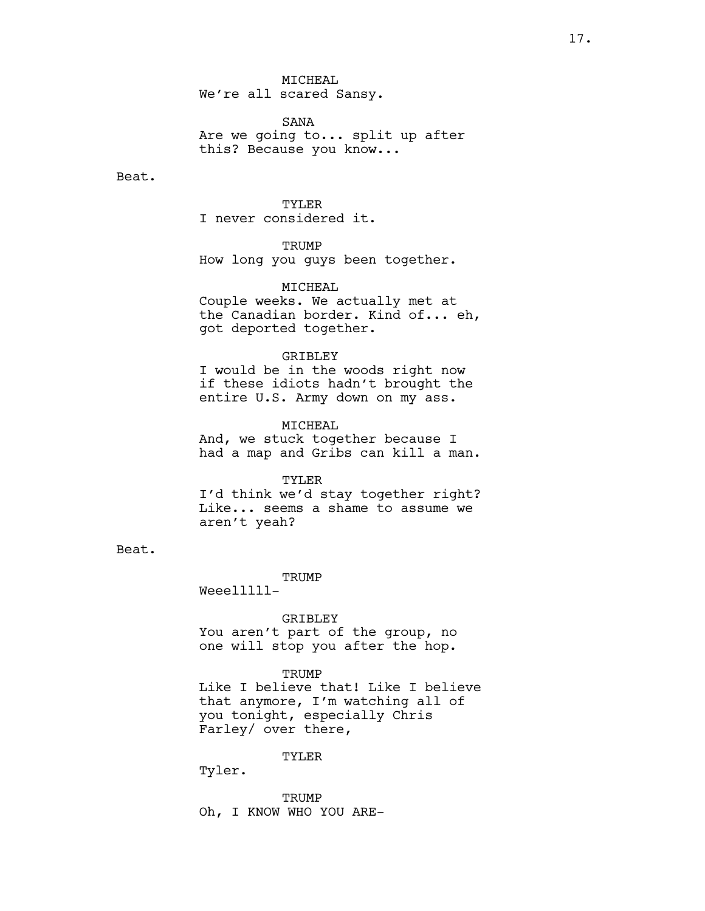MICHEAL We're all scared Sansy.

SANA Are we going to... split up after this? Because you know...

Beat.

#### TYLER

I never considered it.

### **TRUMP**

How long you guys been together.

### MICHEAL

Couple weeks. We actually met at the Canadian border. Kind of... eh, got deported together.

#### GRIBLEY

I would be in the woods right now if these idiots hadn't brought the entire U.S. Army down on my ass.

### MICHEAL

And, we stuck together because I had a map and Gribs can kill a man.

### TYLER

I'd think we'd stay together right? Like... seems a shame to assume we aren't yeah?

### Beat.

**TRUMP** 

Weeelllll-

#### GRIBLEY

You aren't part of the group, no one will stop you after the hop.

### **TRUMP**

Like I believe that! Like I believe that anymore, I'm watching all of you tonight, especially Chris Farley/ over there,

### TYLER

Tyler.

TRUMP Oh, I KNOW WHO YOU ARE-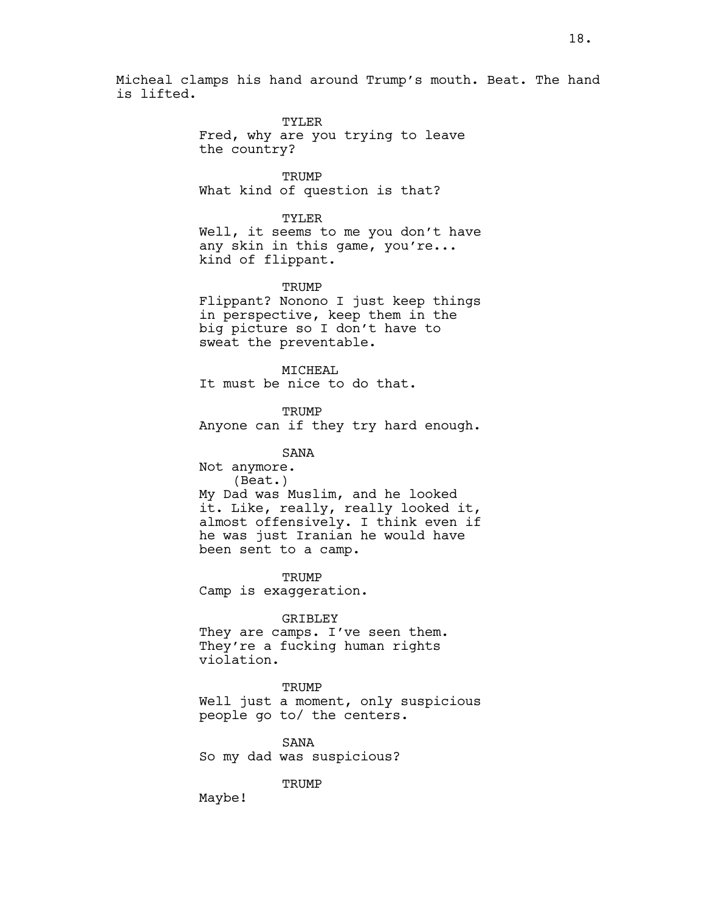Micheal clamps his hand around Trump's mouth. Beat. The hand is lifted.

> TYLER Fred, why are you trying to leave the country?

**TRUMP** What kind of question is that?

TYLER

Well, it seems to me you don't have any skin in this game, you're... kind of flippant.

TRUMP

Flippant? Nonono I just keep things in perspective, keep them in the big picture so I don't have to sweat the preventable.

MTCHEAL

It must be nice to do that.

TRUMP

Anyone can if they try hard enough.

SANA

Not anymore. (Beat.) My Dad was Muslim, and he looked it. Like, really, really looked it, almost offensively. I think even if he was just Iranian he would have been sent to a camp.

**TRUMP** Camp is exaggeration.

GRIBLEY

They are camps. I've seen them. They're a fucking human rights violation.

**TRUMP** Well just a moment, only suspicious people go to/ the centers.

SANA So my dad was suspicious?

**TRUMP** 

Maybe!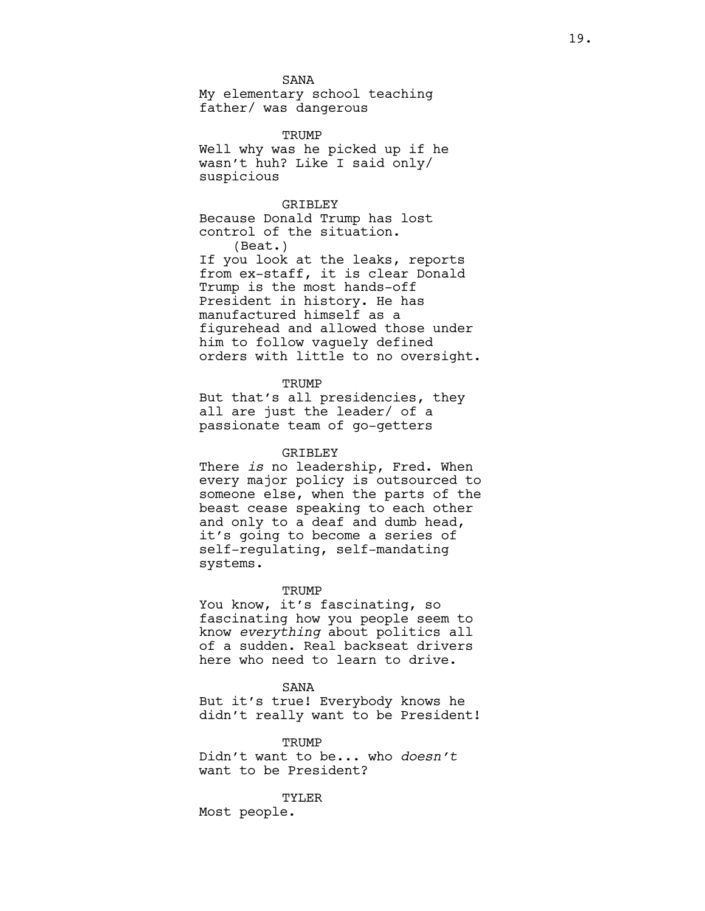SANA

My elementary school teaching father/ was dangerous

**TRUMP** Well why was he picked up if he wasn't huh? Like I said only/ suspicious

### GRIBLEY

Because Donald Trump has lost control of the situation. (Beat.)

If you look at the leaks, reports from ex-staff, it is clear Donald Trump is the most hands-off President in history. He has manufactured himself as a figurehead and allowed those under him to follow vaguely defined orders with little to no oversight.

#### **TRUMP**

But that's all presidencies, they all are just the leader/ of a passionate team of go-getters

#### GRIBLEY

There *is* no leadership, Fred. When every major policy is outsourced to someone else, when the parts of the beast cease speaking to each other and only to a deaf and dumb head, it's going to become a series of self-regulating, self-mandating systems.

#### TRUMP

You know, it's fascinating, so fascinating how you people seem to know *everything* about politics all of a sudden. Real backseat drivers here who need to learn to drive.

#### SANA

But it's true! Everybody knows he didn't really want to be President!

**TRUMP** Didn't want to be... who *doesn't*  want to be President?

TYLER Most people.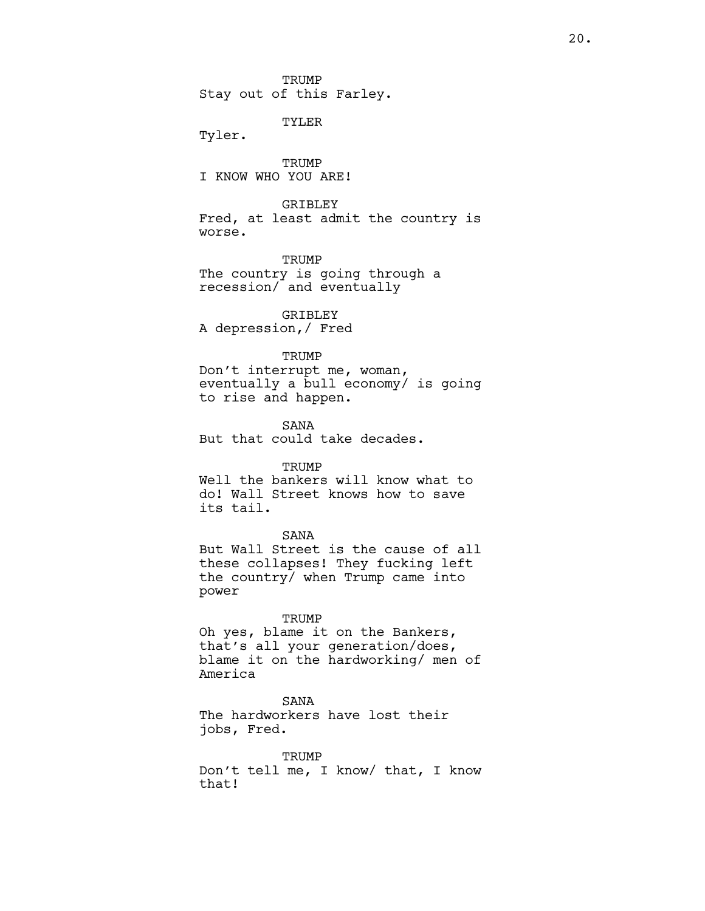TRUMP Stay out of this Farley.

TYLER

Tyler.

**TRUMP** I KNOW WHO YOU ARE!

### **GRIBLEY**

Fred, at least admit the country is worse.

**TRUMP** The country is going through a recession/ and eventually

GRIBLEY A depression,/ Fred

#### **TRUMP**

Don't interrupt me, woman, eventually a bull economy/ is going to rise and happen.

SANA But that could take decades.

### **TRUMP**

Well the bankers will know what to do! Wall Street knows how to save its tail.

### SANA

But Wall Street is the cause of all these collapses! They fucking left the country/ when Trump came into power

#### TRUMP

Oh yes, blame it on the Bankers, that's all your generation/does, blame it on the hardworking/ men of America

### SANA

The hardworkers have lost their jobs, Fred.

**TRUMP** Don't tell me, I know/ that, I know that!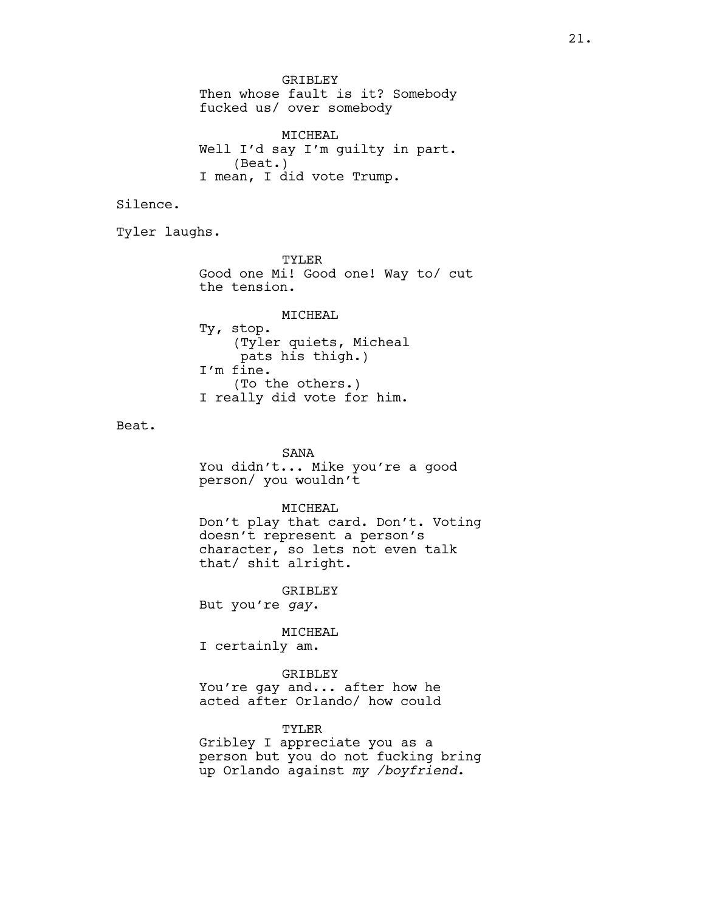GRIBLEY Then whose fault is it? Somebody fucked us/ over somebody

MICHEAL Well I'd say I'm guilty in part. (Beat.) I mean, I did vote Trump.

Silence.

Tyler laughs.

TYLER Good one Mi! Good one! Way to/ cut the tension.

MICHEAL Ty, stop. (Tyler quiets, Micheal pats his thigh.) I'm fine. (To the others.) I really did vote for him.

Beat.

SANA You didn't... Mike you're a good person/ you wouldn't

#### MICHEAL

Don't play that card. Don't. Voting doesn't represent a person's character, so lets not even talk that/ shit alright.

GRIBLEY

But you're *gay*.

### MICHEAL

I certainly am.

GRIBLEY You're gay and... after how he acted after Orlando/ how could

TYLER

Gribley I appreciate you as a person but you do not fucking bring up Orlando against *my /boyfriend*.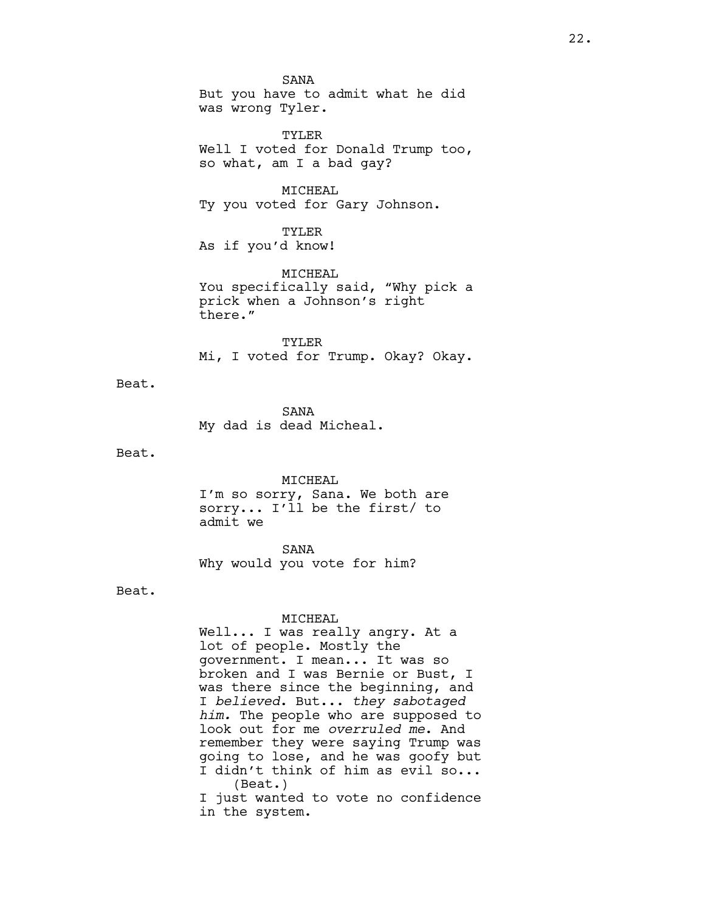SANA But you have to admit what he did was wrong Tyler.

TYLER Well I voted for Donald Trump too, so what, am I a bad gay?

MICHEAL Ty you voted for Gary Johnson.

TYLER As if you'd know!

MICHEAL You specifically said, "Why pick a prick when a Johnson's right there."

TYLER Mi, I voted for Trump. Okay? Okay.

Beat.

SANA My dad is dead Micheal.

Beat.

MICHEAL I'm so sorry, Sana. We both are sorry... I'll be the first/ to admit we

SANA Why would you vote for him?

Beat.

### MICHEAL

Well... I was really angry. At a lot of people. Mostly the government. I mean... It was so broken and I was Bernie or Bust, I was there since the beginning, and I *believed*. But... *they sabotaged him.* The people who are supposed to look out for me *overruled me*. And remember they were saying Trump was going to lose, and he was goofy but I didn't think of him as evil so... (Beat.) I just wanted to vote no confidence

in the system.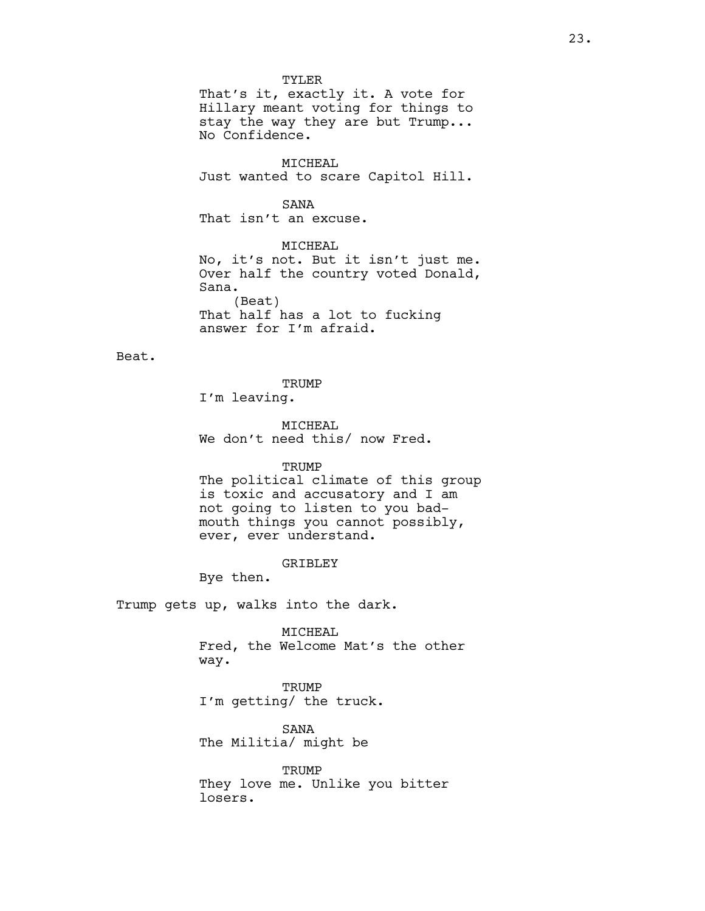TYLER That's it, exactly it. A vote for Hillary meant voting for things to stay the way they are but Trump... No Confidence.

MICHEAL Just wanted to scare Capitol Hill.

# SANA

That isn't an excuse.

MICHEAL No, it's not. But it isn't just me. Over half the country voted Donald, Sana. (Beat) That half has a lot to fucking answer for I'm afraid.

Beat.

### **TRUMP**

I'm leaving.

MICHEAL We don't need this/ now Fred.

### TRUMP

The political climate of this group is toxic and accusatory and I am not going to listen to you badmouth things you cannot possibly, ever, ever understand.

### GRIBLEY

Bye then.

Trump gets up, walks into the dark.

MICHEAL Fred, the Welcome Mat's the other way.

TRUMP I'm getting/ the truck.

SANA The Militia/ might be

TRUMP They love me. Unlike you bitter losers.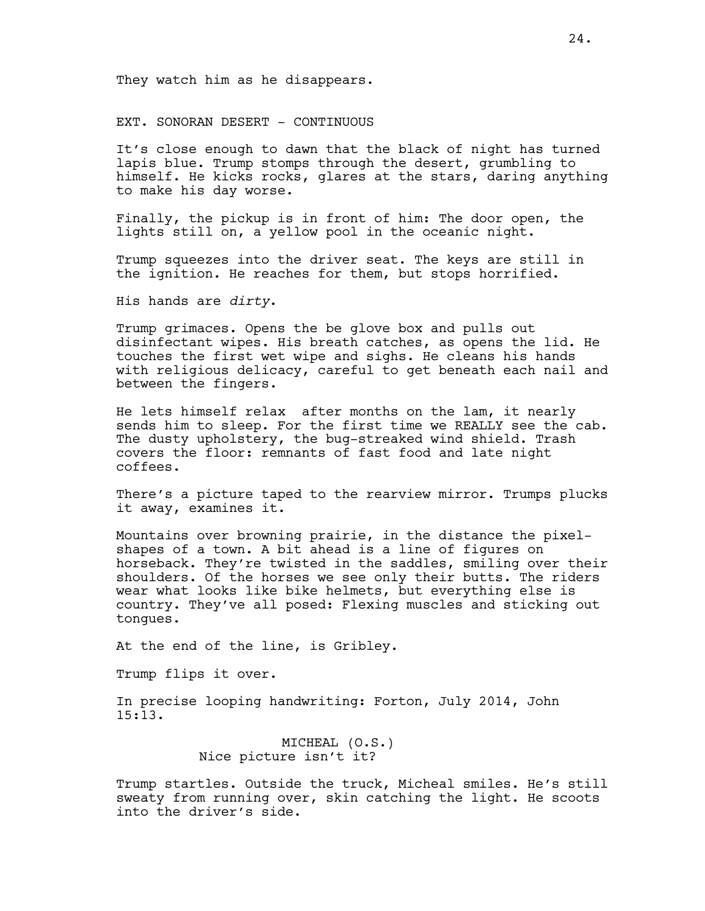They watch him as he disappears.

EXT. SONORAN DESERT - CONTINUOUS

It's close enough to dawn that the black of night has turned lapis blue. Trump stomps through the desert, grumbling to himself. He kicks rocks, glares at the stars, daring anything to make his day worse.

Finally, the pickup is in front of him: The door open, the lights still on, a yellow pool in the oceanic night.

Trump squeezes into the driver seat. The keys are still in the ignition. He reaches for them, but stops horrified.

His hands are *dirty*.

Trump grimaces. Opens the be glove box and pulls out disinfectant wipes. His breath catches, as opens the lid. He touches the first wet wipe and sighs. He cleans his hands with religious delicacy, careful to get beneath each nail and between the fingers.

He lets himself relax after months on the lam, it nearly sends him to sleep. For the first time we REALLY see the cab. The dusty upholstery, the bug-streaked wind shield. Trash covers the floor: remnants of fast food and late night coffees.

There's a picture taped to the rearview mirror. Trumps plucks it away, examines it.

Mountains over browning prairie, in the distance the pixelshapes of a town. A bit ahead is a line of figures on horseback. They're twisted in the saddles, smiling over their shoulders. Of the horses we see only their butts. The riders wear what looks like bike helmets, but everything else is country. They've all posed: Flexing muscles and sticking out tongues.

At the end of the line, is Gribley.

Trump flips it over.

In precise looping handwriting: Forton, July 2014, John 15:13.

> MICHEAL (O.S.) Nice picture isn't it?

Trump startles. Outside the truck, Micheal smiles. He's still sweaty from running over, skin catching the light. He scoots into the driver's side.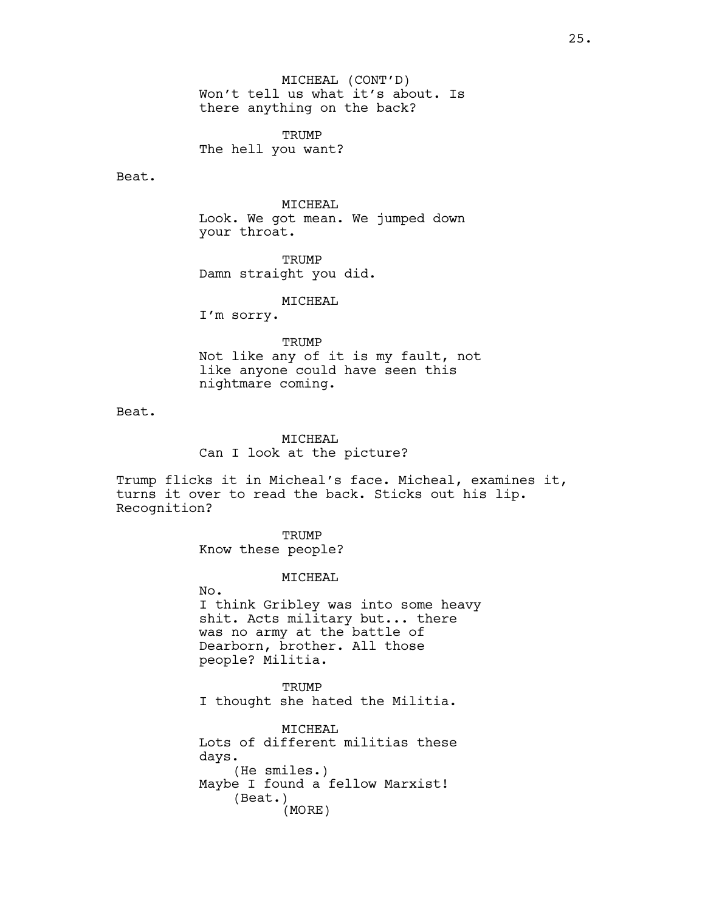MICHEAL (CONT'D) Won't tell us what it's about. Is there anything on the back?

TRUMP The hell you want?

Beat.

MICHEAL

Look. We got mean. We jumped down your throat.

**TRUMP** Damn straight you did.

MICHEAL

I'm sorry.

### **TRUMP**

Not like any of it is my fault, not like anyone could have seen this nightmare coming.

Beat.

MICHEAL Can I look at the picture?

Trump flicks it in Micheal's face. Micheal, examines it, turns it over to read the back. Sticks out his lip. Recognition?

> TRUMP Know these people?

### MICHEAL

No. I think Gribley was into some heavy shit. Acts military but... there was no army at the battle of Dearborn, brother. All those people? Militia.

**TRUMP** I thought she hated the Militia.

MICHEAL Lots of different militias these days. (He smiles.) Maybe I found a fellow Marxist! (Beat.) (MORE)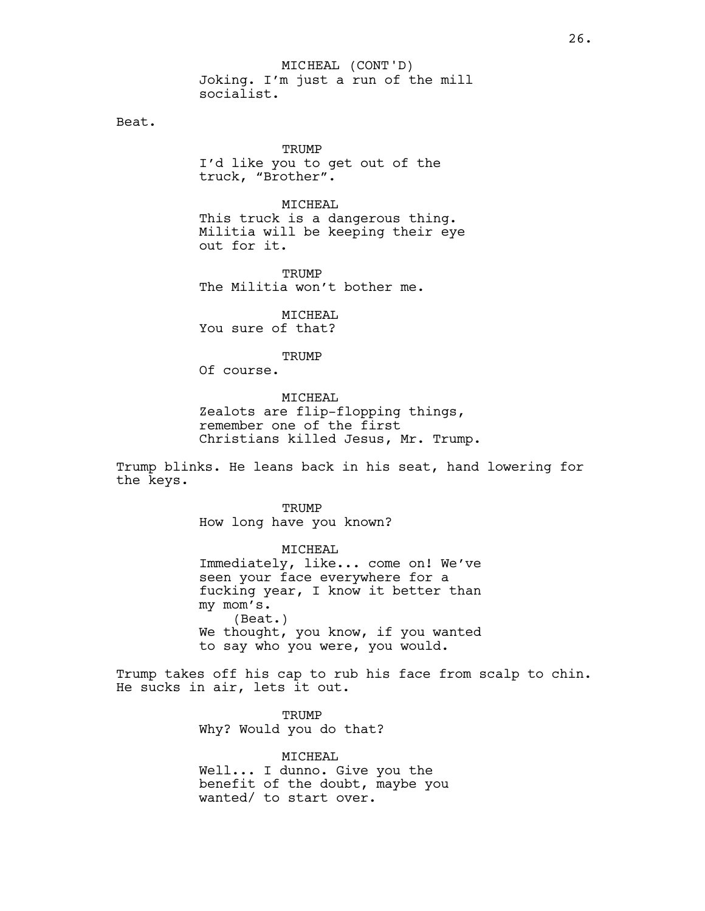Joking. I'm just a run of the mill socialist. MICHEAL (CONT'D)

Beat.

**TRUMP** I'd like you to get out of the truck, "Brother".

MICHEAL This truck is a dangerous thing. Militia will be keeping their eye out for it.

**TRUMP** The Militia won't bother me.

MICHEAL You sure of that?

**TRUMP** 

Of course.

### MICHEAL

Zealots are flip-flopping things, remember one of the first Christians killed Jesus, Mr. Trump.

Trump blinks. He leans back in his seat, hand lowering for the keys.

> TRUMP How long have you known?

MICHEAL Immediately, like... come on! We've seen your face everywhere for a fucking year, I know it better than my mom's. (Beat.) We thought, you know, if you wanted to say who you were, you would.

Trump takes off his cap to rub his face from scalp to chin. He sucks in air, lets it out.

> **TRUMP** Why? Would you do that?

MICHEAL Well... I dunno. Give you the benefit of the doubt, maybe you wanted/ to start over.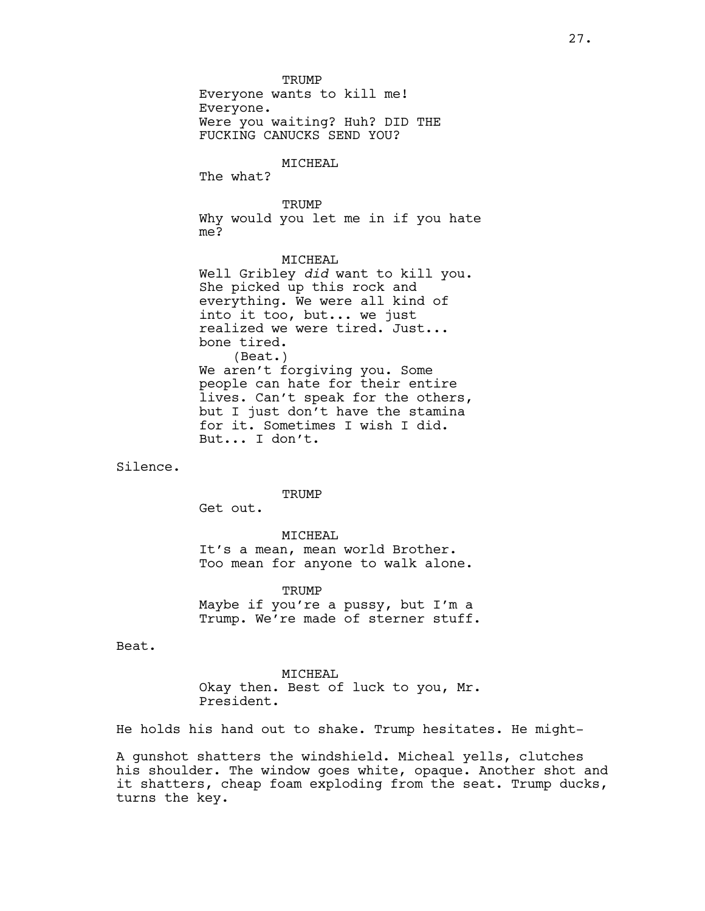TRUMP

Everyone wants to kill me! Everyone. Were you waiting? Huh? DID THE FUCKING CANUCKS SEND YOU?

### MICHEAL

The what?

### **TRUMP**

Why would you let me in if you hate me?

### MICHEAL

Well Gribley *did* want to kill you. She picked up this rock and everything. We were all kind of into it too, but... we just realized we were tired. Just... bone tired. (Beat.) We aren't forgiving you. Some people can hate for their entire lives. Can't speak for the others, but I just don't have the stamina for it. Sometimes I wish I did. But... I don't.

Silence.

#### TRUMP

Get out.

# MICHEAL It's a mean, mean world Brother. Too mean for anyone to walk alone.

**TRUMP** Maybe if you're a pussy, but I'm a Trump. We're made of sterner stuff.

Beat.

MICHEAL Okay then. Best of luck to you, Mr. President.

He holds his hand out to shake. Trump hesitates. He might-

A gunshot shatters the windshield. Micheal yells, clutches his shoulder. The window goes white, opaque. Another shot and it shatters, cheap foam exploding from the seat. Trump ducks, turns the key.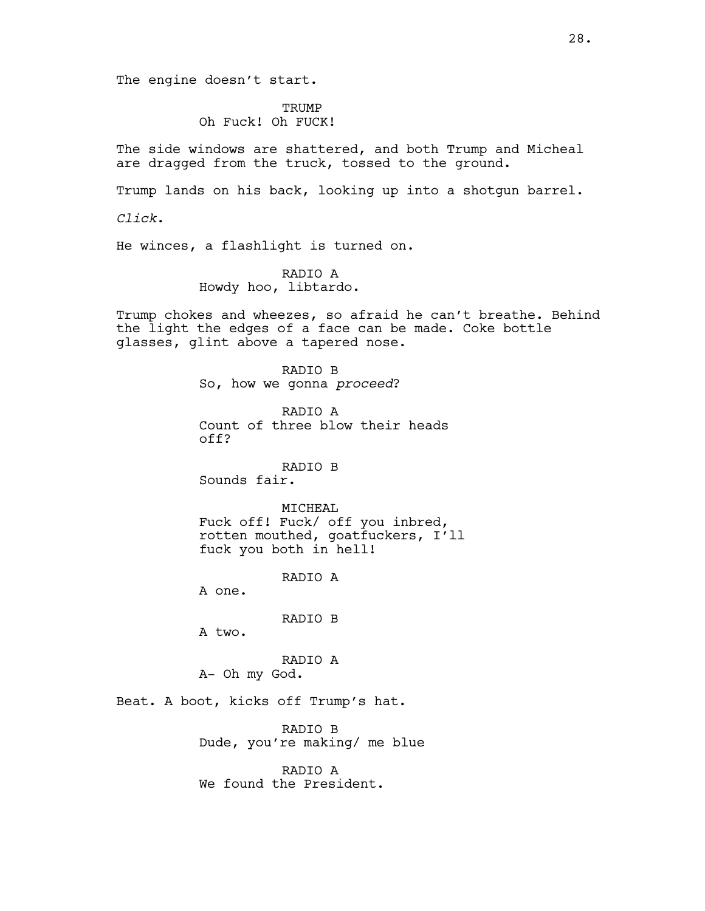TRUMP Oh Fuck! Oh FUCK!

The side windows are shattered, and both Trump and Micheal are dragged from the truck, tossed to the ground.

Trump lands on his back, looking up into a shotgun barrel.

*Click*.

He winces, a flashlight is turned on.

### RADIO A Howdy hoo, libtardo.

Trump chokes and wheezes, so afraid he can't breathe. Behind the light the edges of a face can be made. Coke bottle glasses, glint above a tapered nose.

> RADIO B So, how we gonna *proceed*?

RADIO A Count of three blow their heads off?

RADIO B

Sounds fair.

#### MICHEAL

Fuck off! Fuck/ off you inbred, rotten mouthed, goatfuckers, I'll fuck you both in hell!

RADIO A

A one.

RADIO B

A two.

RADIO A A- Oh my God.

Beat. A boot, kicks off Trump's hat.

RADIO B Dude, you're making/ me blue

RADIO A We found the President.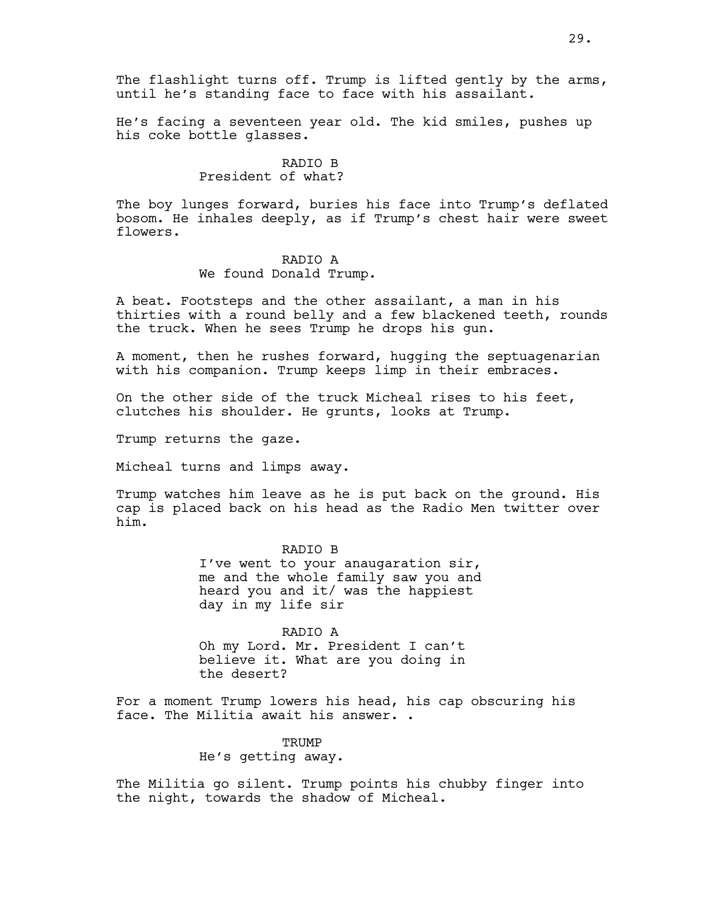The flashlight turns off. Trump is lifted gently by the arms, until he's standing face to face with his assailant.

He's facing a seventeen year old. The kid smiles, pushes up his coke bottle glasses.

# RADIO B President of what?

The boy lunges forward, buries his face into Trump's deflated bosom. He inhales deeply, as if Trump's chest hair were sweet flowers.

#### RADIO A

We found Donald Trump.

A beat. Footsteps and the other assailant, a man in his thirties with a round belly and a few blackened teeth, rounds the truck. When he sees Trump he drops his gun.

A moment, then he rushes forward, hugging the septuagenarian with his companion. Trump keeps limp in their embraces.

On the other side of the truck Micheal rises to his feet, clutches his shoulder. He grunts, looks at Trump.

Trump returns the gaze.

Micheal turns and limps away.

Trump watches him leave as he is put back on the ground. His cap is placed back on his head as the Radio Men twitter over him.

## RADIO B

I've went to your anaugaration sir, me and the whole family saw you and heard you and it/ was the happiest day in my life sir

RADIO A Oh my Lord. Mr. President I can't believe it. What are you doing in the desert?

For a moment Trump lowers his head, his cap obscuring his face. The Militia await his answer. .

> **TRUMP** He's getting away.

The Militia go silent. Trump points his chubby finger into the night, towards the shadow of Micheal.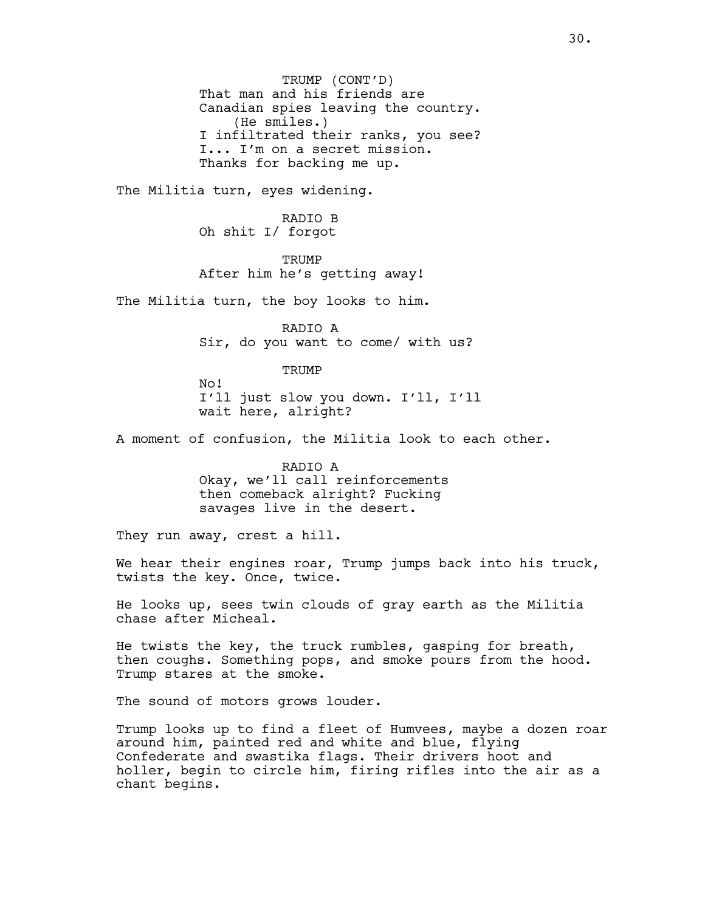TRUMP (CONT'D) That man and his friends are Canadian spies leaving the country. (He smiles.) I infiltrated their ranks, you see? I... I'm on a secret mission. Thanks for backing me up.

The Militia turn, eyes widening.

RADIO B Oh shit I/ forgot

**TRUMP** After him he's getting away!

The Militia turn, the boy looks to him.

RADIO A Sir, do you want to come/ with us?

**TRUMP** 

No! I'll just slow you down. I'll, I'll wait here, alright?

A moment of confusion, the Militia look to each other.

RADIO A Okay, we'll call reinforcements then comeback alright? Fucking savages live in the desert.

They run away, crest a hill.

We hear their engines roar, Trump jumps back into his truck, twists the key. Once, twice.

He looks up, sees twin clouds of gray earth as the Militia chase after Micheal.

He twists the key, the truck rumbles, gasping for breath, then coughs. Something pops, and smoke pours from the hood. Trump stares at the smoke.

The sound of motors grows louder.

Trump looks up to find a fleet of Humvees, maybe a dozen roar around him, painted red and white and blue, flying Confederate and swastika flags. Their drivers hoot and holler, begin to circle him, firing rifles into the air as a chant begins.